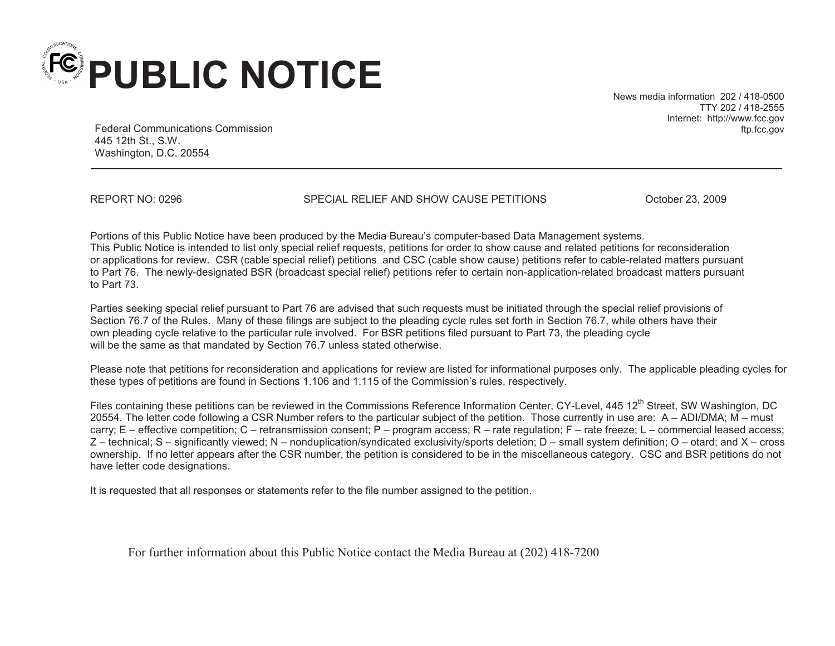

News media information 202 / 418-0500 TTY 202 / 418-2555 Internet: http://www.fcc.gov ftp.fcc.gov

Federal Communications Commission 445 12th St., S.W. Washington, D.C. 20554

REPORT NO: 0296 SPECIAL RELIEF AND SHOW CAUSE PETITIONS October 23, 2009

Portions of this Public Notice have been produced by the Media Bureau's computer-based Data Management systems. This Public Notice is intended to list only special relief requests, petitions for order to show cause and related petitions for reconsideration or applications for review. CSR (cable special relief) petitions and CSC (cable show cause) petitions refer to cable-related matters pursuant to Part 76. The newly-designated BSR (broadcast special relief) petitions refer to certain non-application-related broadcast matters pursuant to Part 73.

Parties seeking special relief pursuant to Part 76 are advised that such requests must be initiated through the special relief provisions of Section 76.7 of the Rules. Many of these filings are subject to the pleading cycle rules set forth in Section 76.7, while others have their own pleading cycle relative to the particular rule involved. For BSR petitions filed pursuant to Part 73, the pleading cycle will be the same as that mandated by Section 76.7 unless stated otherwise.

Please note that petitions for reconsideration and applications for review are listed for informational purposes only. The applicable pleading cycles for these types of petitions are found in Sections 1.106 and 1.115 of the Commission's rules, respectively.

Files containing these petitions can be reviewed in the Commissions Reference Information Center, CY-Level, 445 12<sup>th</sup> Street, SW Washington, DC 20554. The letter code following a CSR Number refers to the particular subject of the petition. Those currently in use are: A – ADI/DMA; M – must carry; E – effective competition; C – retransmission consent; P – program access; R – rate regulation; F – rate freeze; L – commercial leased access; Z – technical; S – significantly viewed; N – nonduplication/syndicated exclusivity/sports deletion; D – small system definition; O – otard; and X – cross ownership. If no letter appears after the CSR number, the petition is considered to be in the miscellaneous category. CSC and BSR petitions do not have letter code designations.

It is requested that all responses or statements refer to the file number assigned to the petition.

For further information about this Public Notice contact the Media Bureau at (202) 418-7200